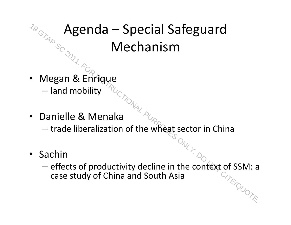# <sup>79</sup><sub>®</sub> Agenda – Special Safeguard<br>Mechanism Mechanism $\begin{array}{lll}\n\sqrt[3]{3}\text{C}_{\text{C}}\text{C}_{\text{C}}\text{D}_{\text{C}}\text{D}_{\text{C}}\text{D}_{\text{C}}\text{D}_{\text{C}}\text{D}_{\text{C}}\text{D}_{\text{C}}\text{D}_{\text{C}}\text{D}_{\text{C}}\text{D}_{\text{C}}\text{D}_{\text{C}}\text{D}_{\text{C}}\text{D}_{\text{C}}\text{D}_{\text{C}}\text{D}_{\text{C}}\text{D}_{\text{C}}\text{D}_{\text{C}}\text{D}_{\text{C}}\text{D}_{\text{C}}\text{D}_{$

- Megan & Enrique
	- land mobility
- Danielle & Menaka
	- and the state of the  $-$  trade liberalization of the wheat sector in China
- Sachin
	- effects of productivity decline in the context of SSM: a case study of China and South Asia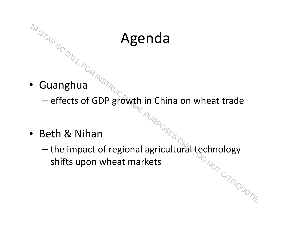### Agenda

• Guanghua

– $-$  effects of GDP growth in China on wheat trade

- Beth & Nihan
- –- the impact of regional agricultural technology shifts upon wheat markets**19 GTAP SC 2011.**<br> **19 GTAP SC 2011.**<br> **19 GTAP SC 2012 SC 2012 SC 2012 SC 2013.**<br> **19 Beth & Nihan**<br> **19 Heth & Nihan**<br> **19 Heth & Nihan**<br> **19 Heth & Nihan**<br> **19 Heth & Nihan**<br> **19 Heth & Nihan**<br> **19 Heth & Nihan**<br> **19**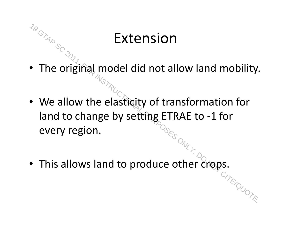## Extension

- The original model did not allow land mobility.
- We allow the elasticity of transformation for land to change by setting ETRAE to -1 for every region.**Extension**<br>
• The original model did not allow land mobility<br>
• We allow the elasticity of transformation for<br>
land to change by setting ETRAE to -1 for<br>
every region.<br>
• This allows land to produce other crops.
- This allows land to produce other crops.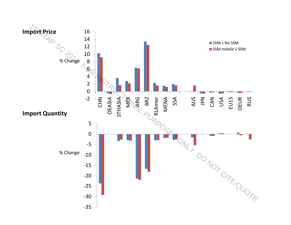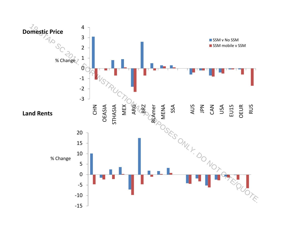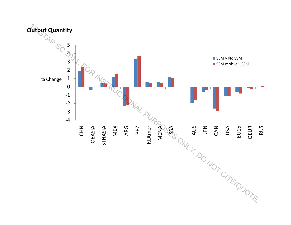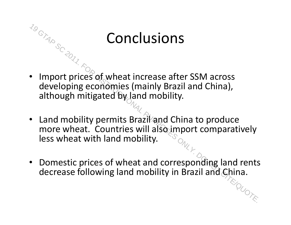## Conclusions

• Import prices of wheat increase after SSM across developing economies (mainly Brazil and China), although mitigated by land mobility.

- Land mobility permits Brazil and China to produce more wheat. Countries will also import comparatively less wheat with land mobility.**19 GRAVIT CONCLUSIONS**<br>
• Import prices of wheat increase after SSM across<br>
developing economies (mainly Brazil and China),<br>
although mitigated by land mobility.<br>
• Land mobility permits Brazil and China to produce<br>
more
- Domestic prices of wheat and corresponding land rents decrease following land mobility in Brazil and China.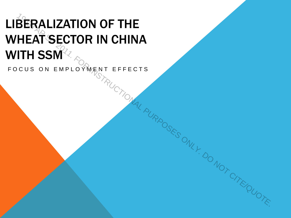### LIBERALIZATION OF THE WHEAT SECTOR IN CHINA WITH SSM<sup>77</sup>

FOCUS ON EMPLOYMENT EFFECTS<br>FOCUS ON EMPLOYMENT EFFECTS<br>ALL PURPOSES ONLY. DO NOT CITE/QUOTE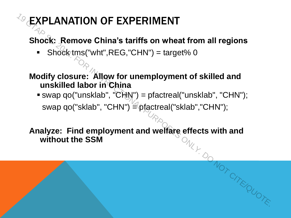#### **EXPLANATION OF EXPERIMENT**

#### **Shock: Remove China's tariffs on wheat from all regions**

Shock tms("wht",  $REG$ , "CHN") = target% 0

**Modify closure: Allow for unemployment of skilled and unskilled labor in China**

 swap qo("unsklab", "CHN") = pfactreal("unsklab", "CHN"); swap qo("sklab", "CHN")  $\cong$  pfactreal("sklab","CHN"); **EXPLANATION OF EXPERIMENT**<br>
Shock: Remove China's tariffs on wheat from all regions<br>
• Shock:tms("wht",REG,"CHN") = target% 0<br>
Modify closure: Allow for unemployment of skilled and<br>
unskilled labor in China<br>
• swap qo("un

**Analyze: Find employment and welfare effects with and**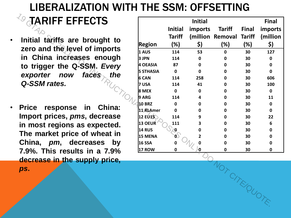#### LIBERALIZATION WITH THE SSM: OFFSETTING *S* **ARIFF EFFECTS Initial**

- **Initial tariffs are brought to zero and the level of imports in China increases enough to trigger the Q-SSM.** *Every exporter now faces the Q-SSM rates.*
- **Price response in China: Import prices,** *pms***, decrease in most regions as expected. The market price of wheat in China,** *pm***, decreases by 7.9%. This results in a 7.9% decrease in the supply price,** *ps***.**

| <sup>79</sup> JARIFF EFFECTS          |                            |                | <b>Initial</b> |                  |               | <b>Final</b> |
|---------------------------------------|----------------------------|----------------|----------------|------------------|---------------|--------------|
|                                       |                            | <b>Initial</b> | imports        | <b>Tariff</b>    | <b>Final</b>  | imports      |
| Initial tariffs are brought to        |                            | <b>Tariff</b>  |                | (million Removal | <b>Tariff</b> | (million     |
|                                       | <b>Region</b>              | (%)            | \$)            | (%)              | (%)           | \$)          |
| zero and the level of imports         | 1 AUS                      | 114            | 53             | 0                | 30            | 127          |
| in China increases enough             | 3 JPN                      | 114            | $\Omega$       | 0                | 30            | <sup>0</sup> |
| to trigger the Q-SSM. Every           | <b>4 OEASIA</b>            | 87             | 0              | 0                | 30            | 0            |
| faces<br>the<br>exporter now          | <b>5 STHASIA</b>           | $\mathbf{0}$   | 0              | 0                | 30            | $\Omega$     |
|                                       | 6 CAN                      | 114            | 258            | 0                | 30            | 606          |
| Q-SSM rates.                          | 7 USA                      | 114            | 41             | 0                | 30            | 100          |
|                                       | 8 MEX                      | $\mathbf{0}$   | 0              | 0                | 30            | $\mathbf 0$  |
|                                       | 9 ARG                      | 114            | 4              | 0                | 30            | 11           |
| <b>Price</b><br>in China:<br>response | <b>10 BRZ</b><br>11 RLAmer | $\mathbf{0}$   | 0              | 0                | 30            | $\mathbf{0}$ |
| Import prices, <i>pms</i> , decrease  | 12 EU15                    | 0<br>114       | 0<br>9         | 0<br>0           | 30<br>30      | 0<br>22      |
|                                       | <b>13 OEUR</b>             | 111            | 3              | 0                | 30            | 6            |
| in most regions as expected.          | <b>14 RUS</b>              | $\mathbf{0}$   | 0              | 0                | 30            | 0            |
| The market price of wheat in          | 15 MENA                    | $\ell$ o'      |                | 0                | 30            | 0            |
| China, <i>pm</i> , decreases<br>by    | <b>16 SSA</b>              | 0              |                | 0                | 30            | 0            |
| $7.9\%$ . This results in a $7.9\%$   | 17 ROW                     | 0              |                | 0                | 30            | 0            |
|                                       |                            |                |                |                  |               |              |
| decrease in the supply price,         |                            |                |                |                  |               |              |
| ps.                                   |                            |                |                |                  |               |              |
|                                       |                            |                |                |                  |               |              |
|                                       |                            |                |                | NOT CITE QUOTE   |               |              |
|                                       |                            |                |                |                  |               |              |
|                                       |                            |                |                |                  |               |              |
|                                       |                            |                |                |                  |               |              |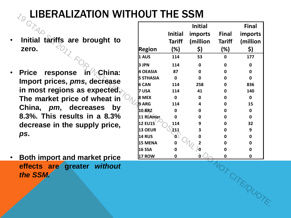#### LIBERALIZATION WITHOUT THE SSM

- **Initial tariffs are brought to zero.**
- **Price response in China: Import prices,** *pms***, decrease in most regions as expected. The market price of wheat in China,** *pm***, decreases by 8.3%. This results in a 8.3% decrease in the supply price,** *ps***.**

| LIBERALIZATIUN WITHUUT THE SSIVI<br>$Z_{\mathcal{Q}}$ |                  |                |                |               |                |
|-------------------------------------------------------|------------------|----------------|----------------|---------------|----------------|
|                                                       |                  |                | <b>Initial</b> |               | <b>Final</b>   |
| Initial tariffs are brought to                        |                  | <b>Initial</b> | imports        | <b>Final</b>  | imports        |
|                                                       |                  | <b>Tariff</b>  | (million       | <b>Tariff</b> | (million       |
| zero.                                                 | <b>Region</b>    | (%)            | \$)            | (%)           | \$)            |
|                                                       | 1 AUS            | 114            | 53             | $\mathbf 0$   | 177            |
|                                                       | 3 JPN            | 114            | $\mathbf 0$    | 0             | $\mathbf{0}$   |
| response in / China:<br><b>Price</b>                  | <b>4 OEASIA</b>  | 87             | $\mathbf 0$    | 0             | $\mathbf 0$    |
| Import prices, pms, decrease                          | <b>5 STHASIA</b> | $\mathbf 0$    | $\mathbf{0}$   | $\mathbf 0$   | 0              |
|                                                       | <b>6 CAN</b>     | 114            | 258            | 0             | 836            |
| in most regions as expected.                          | 7 USA            | 114            | 41             | 0             | 140            |
| The market price of wheat in                          | 8 MEX            | $\mathbf{0}$   | $\bf{0}$       | $\Omega$      | $\mathbf{0}$   |
| China, <i>pm</i> , decreases<br>by                    | 9 ARG            | 114            | 4              | 0             | 15             |
|                                                       | <b>10 BRZ</b>    | 0              | 0              | 0             | 0              |
| 8.3%. This results in a 8.3%                          | 11 RLAmer        | 0              | 0              | 0             | 0              |
| decrease in the supply price,                         | <b>12 EU15</b>   | 114            | 9              | $\Omega$      | 32             |
| ps.                                                   | <b>13 OEUR</b>   | A11            |                | 0             | 9              |
|                                                       | <b>14 RUS</b>    | $\mathbf{C}$   |                | $\Omega$      | 0              |
|                                                       | <b>15 MENA</b>   | 0              |                | 0             | 0              |
|                                                       | <b>16 SSA</b>    | $\Omega$       | O              | 0             | 0              |
| <b>Both import and market price</b>                   | 17 ROW           | 0              |                | 0             | 0              |
| effects are greater without<br>the SSM.               |                  |                |                |               |                |
|                                                       |                  |                |                |               | NOT CITE QUOTE |

• **Both import and market price effects are greater** *without the SSM.*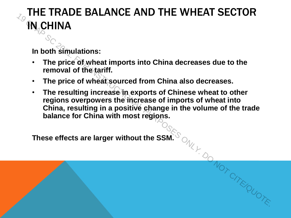#### **THE TRADE BALANCE AND THE WHEAT SECTOR IN CHINA**

**In both simulations:**

- **The price of wheat imports into China decreases due to the removal of the tariff.**
- **The price of wheat sourced from China also decreases.**
- **The resulting increase in exports of Chinese wheat to other regions overpowers the increase of imports of wheat into China, resulting in a positive change in the volume of the trade balance for China with most regions.**

These effects are larger without the SSM. <sup>37</sup> G<sub>MAR SC</sub> 2012. The SC 2012 CITE/QUOTE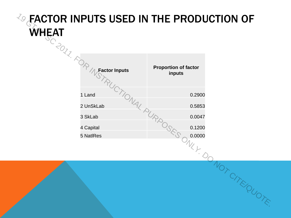# *TO* FACTOR INPUTS USED IN THE PRODUCTION OF  $W$ HEAT

| <b>OR</b> M Factor Inputs | <b>Proportion of factor</b><br>inputs |                        |
|---------------------------|---------------------------------------|------------------------|
| 1 Land                    | CTIONAL PURPOSES<br>0.2900            |                        |
| 2 UnSkLab                 | 0.5853                                |                        |
| 3 SkLab                   | 0.0047                                |                        |
| 4 Capital                 | 0.1200                                |                        |
| 5 NatlRes                 | 0.0000                                |                        |
|                           |                                       |                        |
|                           |                                       | SNL I-DONOT CITEQUOTE. |
|                           |                                       |                        |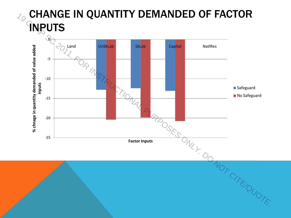#### CHANGE IN QUANTITY DEMANDED OF FACTOR INPUTS

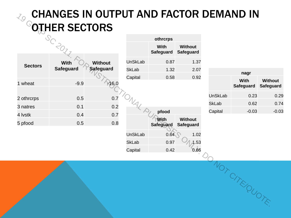# CHANGES IN OUTPUT AND FACTOR DEMAND IN **<sup>C</sup>OTHER SECTORS**

| <b>Sectors</b> | With<br><b>Safeguard</b> | <b>Without</b><br><b>Safeguard</b> |  |  |  |  |
|----------------|--------------------------|------------------------------------|--|--|--|--|
| 1 wheat        | $-9.9$                   | 16,0                               |  |  |  |  |
| 2 othrcrps     | 0.5                      | 0.7                                |  |  |  |  |
| 3 natres       | 0.1                      | 0.2                                |  |  |  |  |
| 4 lvstk        | 0.4                      | 0.7                                |  |  |  |  |
| 5 pfood        | 0.5                      | 0.8                                |  |  |  |  |

|                |                                              |                |                | othrcrps                        |                                    |                |                                 |                            |
|----------------|----------------------------------------------|----------------|----------------|---------------------------------|------------------------------------|----------------|---------------------------------|----------------------------|
|                | $\mathcal{S}_{C_{20_{\mathbb{Z}^{\cdot}}} }$ |                |                | <b>With</b><br><b>Safeguard</b> | <b>Without</b><br><b>Safeguard</b> |                |                                 |                            |
| <b>Sectors</b> | With                                         | <b>Without</b> | <b>UnSkLab</b> | 0.87                            | 1.37                               |                |                                 |                            |
|                | Safeguard                                    | Safeguard      | <b>SkLab</b>   | 1.32                            | 2.07                               |                | nagr                            |                            |
| 1 wheat        | $-9.9$                                       | $-16,0$        | Capital        | 0.58                            | 0.92                               |                | <b>With</b><br><b>Safeguard</b> | <b>Without</b><br>Safeguar |
| 2 othrcrps     | 0.5                                          | 0.7            |                |                                 |                                    | <b>UnSkLab</b> | 0.23                            | 0.                         |
| 3 natres       | 0.1                                          | 0.2            |                |                                 |                                    | <b>SkLab</b>   | 0.62                            | 0.                         |
| 4 lvstk        | 0.4                                          | 0.7            |                | pfood                           |                                    | Capital        | $-0.03$                         | $-0.$                      |
| 5 pfood        | 0.5                                          | 0.8            |                | With<br><b>Safeguard</b>        | <b>Without</b><br><b>Safeguard</b> |                |                                 |                            |
|                |                                              |                | <b>UnSkLab</b> | 0.64                            | 1.02                               |                |                                 |                            |
|                |                                              |                | <b>SkLab</b>   | 0.97                            | 1.53                               |                |                                 |                            |
|                |                                              |                | Capital        | 0.42                            | 0.66                               |                |                                 |                            |
|                |                                              |                |                |                                 |                                    |                | JONOT CITE QUOTE.               |                            |

| nagr    |                          |                                    |  |  |  |  |
|---------|--------------------------|------------------------------------|--|--|--|--|
|         | With<br><b>Safeguard</b> | <b>Without</b><br><b>Safeguard</b> |  |  |  |  |
| UnSkLab | 0.23                     | 0.29                               |  |  |  |  |
| SkLab   | 0.62                     | 0.74                               |  |  |  |  |
| Capital | $-0.03$                  | $-0.03$                            |  |  |  |  |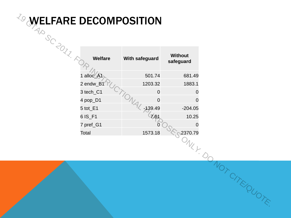#### WELFARE DECOMPOSITION

|            |             | <b>Without</b><br>safeguard |                           |
|------------|-------------|-----------------------------|---------------------------|
| 1 alloc_A1 | 501.74      | 681.49                      |                           |
| 2 endw_B1  | 1203.32     | 1883.1                      |                           |
| 3 tech_C1  | $\mathbf 0$ | 0                           |                           |
| 4 pop_D1   | $\mathbf 0$ | 0                           |                           |
| 5 tot_E1   | $-139.49$   | $-204.05$                   |                           |
| 6 IS_F1    | 7/61        | 10.25                       |                           |
| 7 pref_G1  |             | 0                           |                           |
| Total      | 1573.18     | 2370.79                     |                           |
|            |             |                             | W.V. L. DO NOT CITE QUOTE |
|            |             |                             |                           |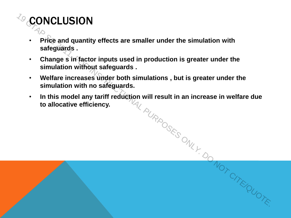#### <sup>7</sup>® CONCLUSION

- **Price and quantity effects are smaller under the simulation with safeguards .**
- **Change s in factor inputs used in production is greater under the simulation without safeguards .**
- Welfare increases under both simulations, but is greater under the **simulation with no safeguards.**
- **In this model any tariff reduction will result in an increase in welfare due to allocative efficiency.**<br> **to allocative** efficiency.<br> **19 GETAP SC 2014.**<br>
A SC 2014. PURPORES ONLY. DO NOT CITE/QUOTE.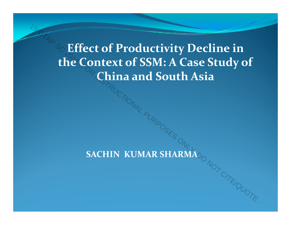# Effect of Productivity Decline in the Context of SSM: A Case Study of China and South AsiaTHE SCRIP SCRIP SCRIP SCRIP SCRIP SCRIP SCRIP SCRIP SCRIP SCRIP SCRIP SCRIP SCRIP SCRIPT SCRIPT SCRIPT SCRIPT SCRIPT SCRIPT SCRIPT SCRIPT SCRIPT SCRIPT SCRIPT SCRIPT SCRIPT SCRIPT SCRIPT SCRIPT SCRIPT SCRIPT SCRIPT SCRIPT

SACHIN KUMAR SHARM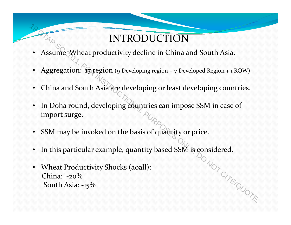#### INTRODUCTION

- •Assume Wheat productivity decline in China and South Asia.
- •Aggregation: 17 region (9 Developing region + 7 Developed Region + 1 ROW)
- •China and South Asia are developing or least developing countries.
- • In Doha round, developing countries can impose SSM in case of import surge.19 GENTRODUCTION<br>
19 GENTRODUCTION<br>
19 Assume-Wheat productivity decline in China and South Asia.<br>
19 Assertion: 19 Assame developing region + 7 Developed Region + 1 ROW)<br>
19 China and South Asia are developing of least d
- •SSM may be invoked on the basis of quantity or price.
- •In this particular example, quantity based SSM is considered.
- • Wheat Productivity Shocks (aoall): China: -20%South Asia: -15 $\%$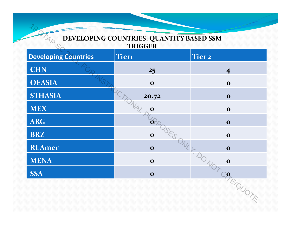#### DEVELOPING COUNTRIES: QUANTITY BASED SSM TRIGGER

| DEVELOPING COUNTRIES: QUANTITY BASED SSM |                |                              |  |  |  |  |  |
|------------------------------------------|----------------|------------------------------|--|--|--|--|--|
|                                          | <b>TRIGGER</b> |                              |  |  |  |  |  |
| <b>Developing Countries</b>              | <b>Tieri</b>   | Tier <sub>2</sub>            |  |  |  |  |  |
| <b>CHN</b>                               | 25             | $\overline{4}$               |  |  |  |  |  |
| <b>OEASIA</b>                            | $\mathbf 0$    | $\mathbf 0$                  |  |  |  |  |  |
| <b>STHASIA</b>                           | NOTIONAL PURP  | $\mathbf 0$                  |  |  |  |  |  |
| <b>MEX</b>                               |                | $\mathbf 0$                  |  |  |  |  |  |
| <b>ARG</b>                               |                |                              |  |  |  |  |  |
| <b>BRZ</b>                               | $\mathbf 0$    |                              |  |  |  |  |  |
| <b>RLAmer</b>                            | $\mathbf 0$    |                              |  |  |  |  |  |
| <b>MENA</b>                              | $\mathbf 0$    | EPOSES ONLY LOONOT COREQUOTE |  |  |  |  |  |
| <b>SSA</b>                               | $\mathbf 0$    |                              |  |  |  |  |  |
|                                          |                |                              |  |  |  |  |  |
|                                          |                |                              |  |  |  |  |  |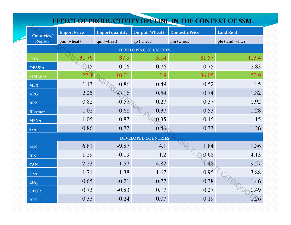| <b>EFFECT OF PRODUCTIV</b><br><b>TY DECLINE IN THE CONTEXT OF SSM</b> |                     |                        |                            |                       |                    |
|-----------------------------------------------------------------------|---------------------|------------------------|----------------------------|-----------------------|--------------------|
| <b>Countries/</b>                                                     | <b>Import Price</b> | <b>Import quantity</b> | <b>Output (Wheat)</b>      | <b>Domestic Price</b> | <b>Land Rent</b>   |
| <b>Region</b>                                                         | pim (wheat)         | qim(wheat)             | qo (wheat)                 | pm (wheat)            | pfe (land, wht, i) |
| <b>DEVELOPING COUNTRIES</b>                                           |                     |                        |                            |                       |                    |
| <b>CHN</b>                                                            | 31.76               | 87.9                   | $-3.04$                    | 81.57                 | 113.4              |
| <b>OEASIA</b>                                                         | 1,45                | 0.06                   | 0.76                       | 0.75                  | 2.83               |
| <b>STHASIA</b>                                                        | 22.4                | 10.01                  | $-2.9$                     | 36.05                 | 50.9               |
| <b>MEX</b>                                                            | 1.13                | $-0.86$                | 0.49                       | 0.52                  | 1.5                |
| <b>ARG</b>                                                            | 2.25                | 3.16                   | 0.54                       | 0.74                  | 1.82               |
| <b>BRZ</b>                                                            | 0.82                | $-0.57$                | 0.27                       | 0.37                  | 0.92               |
| <b>RLAmer</b>                                                         | 1.02                | $-0.68$                | 0.37                       | 0.53                  | 1.28               |
| <b>MENA</b>                                                           | 1.05                | $-0.87$                | 0.35                       | 0.45                  | 1.15               |
| <b>SSA</b>                                                            | 0.86                | $-0.72$                | 0.46                       | 0.33                  | 1.26               |
|                                                                       |                     |                        | <b>DEVELOPED COUNTRIES</b> |                       |                    |
| <b>AUS</b>                                                            | 6.81                | $-9.87$                | 4.1                        | 1.84                  | 9.36               |
| <b>JPN</b>                                                            | 1.29                | $-0.09$                | 1.2                        | 0.68                  | 4.13               |
| <b>CAN</b>                                                            | 2.23                | $-1.57$                | 4.82                       | 1.48                  | 9.57               |
| <b>USA</b>                                                            | 1.71                | $-1.38$                | 1.67                       | 0.95                  | 3.88               |
| <b>EU15</b>                                                           | 0.65                | $-0.21$                | 0.77                       | 0.38                  | CITEQU<br>1.46     |
| <b>OEUR</b>                                                           | 0.73                | $-0.83$                | 0.17                       | 0.27                  | 0.49               |
| <b>RUS</b>                                                            | 0.33                | $-0.24$                | 0.07                       | 0.19                  | 0.26               |

s 0.33  $-0.24$  0.07 0.19 0.26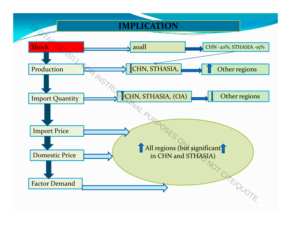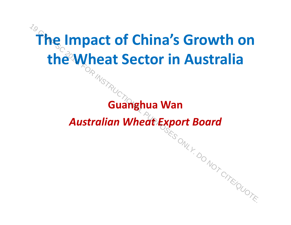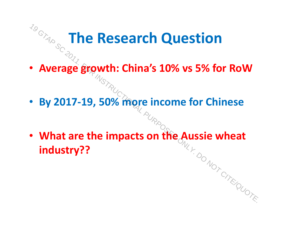# **The Research Question**

- Average growth: China's 10% vs 5% for RoW
- By 2017-19, 50% more income for Chinese
- What are the impacts on the Aussie wheat industry??.Y. DO NOT CITE/QUOTE.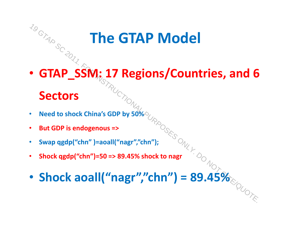# The GTAP Model

# $\bullet$ • GTAP\_SSM; 17 Regions/Countries, and 6 The GTAP Model<br>
• GTAP\_SSM; 17 Regions/Countries, and 6<br>
Sectors<br>
• Need to shock China's GDP by 50%<br>
• But GDP is endogenous =><br>
• Swap qgdp("chn")=50 => 89.45% shock to nagr<br>
• Shock aoall("nagr","chn") = 89.45%

#### Sectors

- $\bullet$ Need to shock China's GDP by 50%
- $\bullet$ But GDP is endogenous =>
- $\bullet$ Swap qgdp("chn" )=aoall("nagr","chn");
- Shock qgdp("chn")=50 => 89.45% shock to nagr
- •Shock aoall("nagr","chn") = 89.45%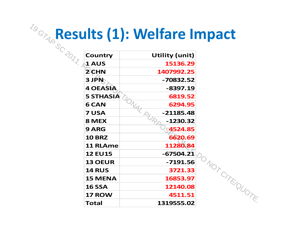# Results (1): Welfare Impact

|                  | $\frac{1}{100}$ $\frac{1}{100}$ $\frac{1}{100}$ $\frac{1}{100}$ $\frac{1}{100}$ $\frac{1}{100}$ $\frac{1}{100}$ $\frac{1}{100}$ $\frac{1}{100}$ $\frac{1}{100}$ $\frac{1}{100}$ $\frac{1}{100}$ $\frac{1}{100}$ $\frac{1}{100}$ $\frac{1}{100}$ $\frac{1}{100}$ $\frac{1}{100}$ $\frac{1}{100}$ $\frac{1$ |                   |
|------------------|-----------------------------------------------------------------------------------------------------------------------------------------------------------------------------------------------------------------------------------------------------------------------------------------------------------|-------------------|
|                  |                                                                                                                                                                                                                                                                                                           |                   |
| 2/CHN            | 1407992.25                                                                                                                                                                                                                                                                                                |                   |
| 3 JPN            | -70832.52                                                                                                                                                                                                                                                                                                 |                   |
| <b>4 OEASIA</b>  | $-8397.19$                                                                                                                                                                                                                                                                                                |                   |
| <b>5 STHASIA</b> | 6819.52                                                                                                                                                                                                                                                                                                   |                   |
| <b>6 CAN</b>     | 6294.95                                                                                                                                                                                                                                                                                                   |                   |
| <b>7 USA</b>     | $-21185.48$                                                                                                                                                                                                                                                                                               |                   |
| 8 MEX            | $-1230.32$                                                                                                                                                                                                                                                                                                |                   |
| 9 ARG            | 4524.85                                                                                                                                                                                                                                                                                                   |                   |
| <b>10 BRZ</b>    | 6620.69                                                                                                                                                                                                                                                                                                   |                   |
| <b>11 RLAme</b>  | 11280.84                                                                                                                                                                                                                                                                                                  |                   |
| <b>12 EU15</b>   | $-67504.21$                                                                                                                                                                                                                                                                                               |                   |
| <b>13 OEUR</b>   | $-7191.56$                                                                                                                                                                                                                                                                                                |                   |
| <b>14 RUS</b>    | 3721.33                                                                                                                                                                                                                                                                                                   |                   |
| <b>15 MENA</b>   | 16853.97                                                                                                                                                                                                                                                                                                  |                   |
| <b>16 SSA</b>    | 12140.08                                                                                                                                                                                                                                                                                                  |                   |
| <b>17 ROW</b>    | 4511.51                                                                                                                                                                                                                                                                                                   | JONOT CITE QUOTE. |
| <b>Total</b>     | 1319555.02                                                                                                                                                                                                                                                                                                |                   |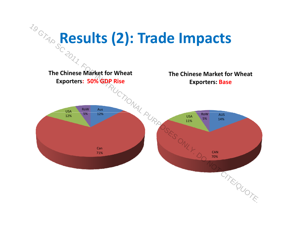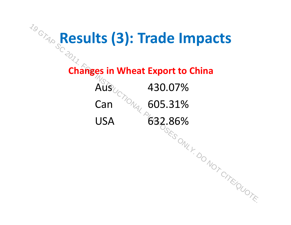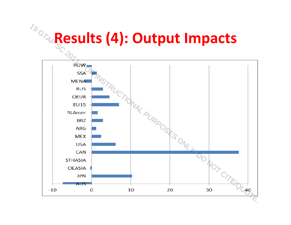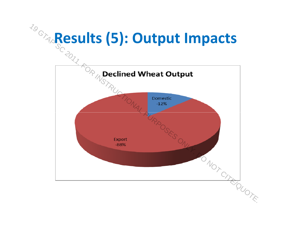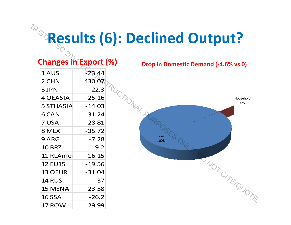# Results (6): Declined Output?

|                  |                              | <sup>79</sup> <sup>8</sup> Results (6): Declined Output? |
|------------------|------------------------------|----------------------------------------------------------|
|                  | <b>Changes in Export (%)</b> | Drop in Domestic Demand (-4.6% vs 0)                     |
| 1 AUS            | 23.44                        |                                                          |
| 2 CHN            | 430.07                       |                                                          |
| 3 JPN            | $-22.3$                      |                                                          |
| <b>4 OEASIA</b>  | $-25.16$                     | Household                                                |
| <b>5 STHASIA</b> | $-14.03$                     | 0%                                                       |
| 6 CAN            | $-31.24$                     | ICTIONAL PUR                                             |
| 7 USA            | $-28.81$                     |                                                          |
| 8 MEX            | $-35.72$                     |                                                          |
| 9 ARG            | $-7.28$                      | Firm<br>$-100%$                                          |
| <b>10 BRZ</b>    | $-9.2$                       |                                                          |
| 11 RLAme         | $-16.15$                     |                                                          |
| <b>12 EU15</b>   | $-19.56$                     |                                                          |
| <b>13 OEUR</b>   | $-31.04$                     |                                                          |
| <b>14 RUS</b>    | $-37$                        |                                                          |
| <b>15 MENA</b>   | $-23.58$                     |                                                          |
| <b>16 SSA</b>    | $-26.2$                      | JTCITE QUOTE                                             |
| 17 ROW           | $-29.99$                     |                                                          |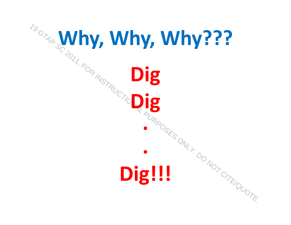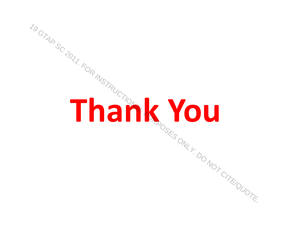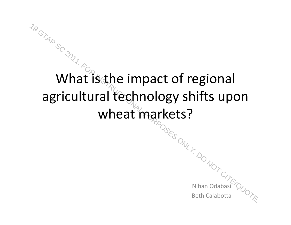# What is the impact of regional agricultural technology shifts upon wheat markets? $\frac{1}{20}$   $\frac{1}{20}$   $\frac{1}{20}$   $\frac{1}{20}$   $\frac{1}{20}$   $\frac{1}{20}$   $\frac{1}{20}$   $\frac{1}{20}$   $\frac{1}{20}$   $\frac{1}{20}$   $\frac{1}{20}$   $\frac{1}{20}$   $\frac{1}{20}$   $\frac{1}{20}$   $\frac{1}{20}$   $\frac{1}{20}$   $\frac{1}{20}$   $\frac{1}{20}$   $\frac{1}{20}$   $\frac{1}{20}$

Nihan Odabasi

Beth Calabotta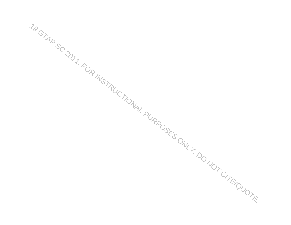19 GTAP SC 2011. FOR INSTRUCTIONAL PURPOSES ONLY. DO NOT CITE QUOTE.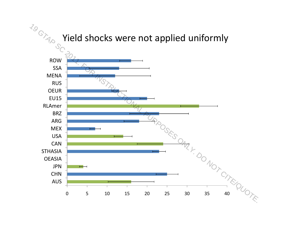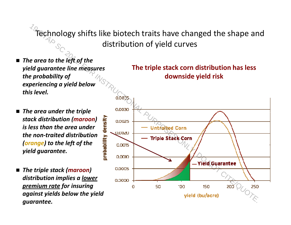Technology shifts like biotech traits have changed the shape and distribution of yield curves

- $\blacksquare$  The area to the left of the yield guarantee line measures the probability of experiencing a yield below this level.
- $\blacksquare$  The area under the triple stack distribution (maroon) is less than the area under the non-traited distribution (orange) to the left of the yield guarantee.
- The triple stack (maroon) distribution implies a lower premium rate for insuring against yields below the yield guarantee.

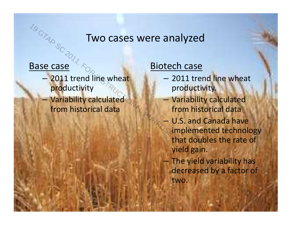#### Two cases were analyzed

#### Base case

–

- –- 2011 trend line wheat productivity
- Variability calculated from historical data

#### Biotech case

- –- 2011 trend line wheat productivity.
- – Variability calculated from historical data
- – U.S. and Canada have implemented technology that doubles the rate of yield gain.Two cases were analyzed<br>
Base case<br>  $-$  2011 trend line wheat<br>  $-$  2011 trend line wheat<br>  $-$  2011 trend line wheat<br>  $-$  2011 trend line wheat<br>  $-$  2011 trend line wheat<br>  $-$  2011 trend line wheat<br>  $-$  2011 trend line whe
	- –- The yield variability has decreased by a factor of two.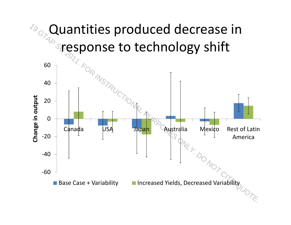# Quantities produced decrease in response to technology shift

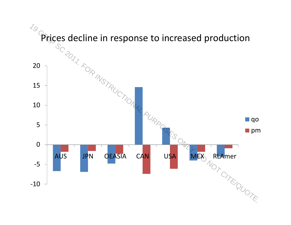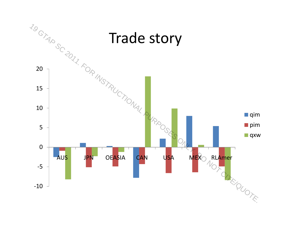